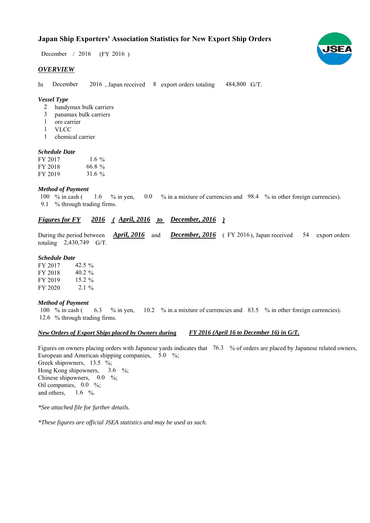# **Japan Ship Exporters' Association Statistics for New Export Ship Orders**

December / 2016 (FY 2016)

#### *OVERVIEW*

In December 2016, Japan received 8 export orders totaling 484,800 G/T. December

### *Vessel Type*

- handymax bulk carriers 2
- panamax bulk carriers 3
- ore carrier 1
- VLCC 1
- chemical carrier 1

#### *Schedule Date*

| FY 2017 | 1.6 %     |
|---------|-----------|
| FY 2018 | $66.8 \%$ |
| FY 2019 | 31.6 $%$  |

#### *Method of Payment*

% in cash ( $\frac{1.6}{8}$  % in yen,  $\frac{0.0}{8}$  % in a mixture of currencies and 98.4 % in other foreign currencies). % through trading firms. 9.1 100  $%$  in cash ( 1.6

# *<u>Figures for FY</u> 2016 (April, 2016 to December, 2016)*

During the period between *April, 2016* and *December, 2016* (FY 2016), Japan received 54 export orders totaling  $2,430,749$  G/T. *April, 2016* and

#### *Schedule Date*

FY 2017  $42.5\%$ FY 2018 FY 2019 FY 2020  $2.1\%$ 40.2  $%$ 15.2  $%$ 

#### *Method of Payment*

100 % in cash (6.3 % in yen, 10.2 % in a mixture of currencies and 83.5 % in other foreign currencies). 12.6 % through trading firms.

#### *New Orders of Export Ships placed by Owners during FY 2016 (April 16 to December 16) in G/T.*

Figures on owners placing orders with Japanese yards indicates that 76.3 % of orders are placed by Japanese related owners, European and American shipping companies,  $5.0\%$ ; Greek shipowners,  $13.5 \frac{6}{6}$ ; Hong Kong shipowners, Chinese shipowners,  $0.0\%$ ; Oil companies,  $0.0\%$ ; and others,  $1.6\%$ 3.6  $\frac{9}{6}$ ;

*\*See attached file for further details.*

*\*These figures are official JSEA statistics and may be used as such.*

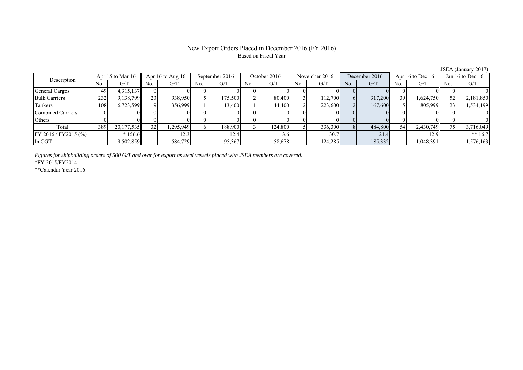## New Export Orders Placed in December 2016 (FY 2016) Based on Fiscal Year

JSEA (January 2017)

| Description              | Apr 15 to Mar 16 |            | Apr 16 to Aug $16$ |          | September 2016 |         | October 2016 |         | November 2016 |         | December 2016 |         | Apr 16 to Dec 16 |           | Jan 16 to Dec $16$ |           |
|--------------------------|------------------|------------|--------------------|----------|----------------|---------|--------------|---------|---------------|---------|---------------|---------|------------------|-----------|--------------------|-----------|
|                          | No.              | G/T        | No.                | G/T      | No.            | G/T     | No.          | G/T     | No.           | G/T     | No.           | G/T     | No.              | G/T       | No.                | G/T       |
| General Cargos           | 49               | 4,315,137  |                    |          |                |         |              |         |               |         |               |         |                  |           |                    |           |
| <b>Bulk Carriers</b>     | 232              | 9,138,799  | 23                 | 938,950  |                | 175,500 |              | 80,400  |               | 112.700 |               | 317,200 | 39               | 1,624,750 |                    | 2,181,850 |
| Tankers                  | 108              | 6,723,599  |                    | 356,999  |                | 13.400  |              | 44,400  |               | 223,600 |               | 167,600 |                  | 805,999   |                    | 1,534,199 |
| <b>Combined Carriers</b> |                  |            |                    |          |                |         |              |         |               |         |               |         |                  |           |                    |           |
| Others                   |                  |            |                    |          |                |         |              |         |               |         |               |         |                  |           |                    |           |
| Total                    | 389              | 20,177,535 | 32                 | .295,949 |                | 188,900 |              | 124.800 |               | 336,300 |               | 484,800 | 54               | 2,430,749 |                    | 3,716,049 |
| FY 2016 / FY 2015 (%)    |                  | $*156.6$   |                    | 12.3     |                | 12.4    |              | 3.OI    |               | 30.7    |               | 21.4    |                  | 12.9      |                    | ** $16.7$ |
| In CGT                   |                  | 9,502,859  |                    | 584,729  |                | 95,367  |              | 58,678  |               | 124,285 |               | 185,332 |                  | 1,048,391 |                    | 1,576,163 |

*Figures for shipbuilding orders of 500 G/T and over for export as steel vessels placed with JSEA members are covered.*

\*FY 2015/FY2014

\*\*Calendar Year 2016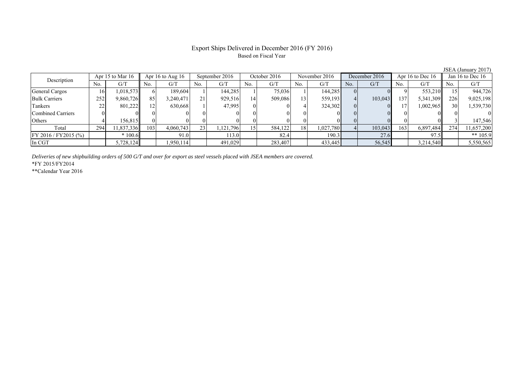# Export Ships Delivered in December 2016 (FY 2016) Based on Fiscal Year

|                          |                    |            |     |                    |                 |                |     |              |     |               |     |               |     |                    |     | 0.01111100011120111 |  |
|--------------------------|--------------------|------------|-----|--------------------|-----------------|----------------|-----|--------------|-----|---------------|-----|---------------|-----|--------------------|-----|---------------------|--|
| Description              | Apr 15 to Mar $16$ |            |     | Apr 16 to Aug $16$ |                 | September 2016 |     | October 2016 |     | November 2016 |     | December 2016 |     | Apr 16 to Dec $16$ |     | Jan 16 to Dec 16    |  |
|                          | No.                | G/T        | No. | G/T                | No.             | G/T            | No. | G/T          | No. | G/T           | No. | G/T           | No. | G/T                | No. | G/T                 |  |
| General Cargos           | 16                 | 1,018,573  |     | 189.604            |                 | 144,285        |     | 75,036       |     | 144,285       |     |               |     | 553,210            |     | 944,726             |  |
| <b>Bulk Carriers</b>     | 252                | 9,860,726  | 85  | 3,240,471          | 21 <sub>1</sub> | 929,516        |     | 509,086      | 13  | 559,193       |     | 103,043       | 137 | 5,341,309          | 226 | 9,025,198           |  |
| Tankers                  | 22                 | 801,222    |     | 630.668            |                 | 47.995         |     |              |     | 324,302       |     |               |     | 1,002,965          | 30  | 1,539,730           |  |
| <b>Combined Carriers</b> |                    |            |     |                    |                 |                |     | $\Omega$     |     |               |     |               |     |                    |     |                     |  |
| Others                   |                    | 156.815II  |     |                    |                 |                |     | 01           |     |               |     |               |     |                    |     | 147,546             |  |
| Total                    | 294                | 11,837,336 | 103 | 4,060,743          | 23              | .121,796       |     | 584,122      | 18  | 1,027,780     |     | 103,043       | 163 | 6,897,484          | 274 | 11,657,200          |  |
| FY 2016 / FY 2015 (%)    |                    | $*100.6$   |     | 91.0               |                 | 113.0          |     | 82.4         |     | 190.3         |     | 27.6          |     | 97.5               |     | ** $105.9$          |  |
| In CGT                   |                    | 5,728,124  |     | 1,950,114          |                 | 491,029        |     | 283,407      |     | 433,445       |     | 56,545        |     | 3,214,540          |     | 5,550,565           |  |

*Deliveries of new shipbuilding orders of 500 G/T and over for export as steel vessels placed with JSEA members are covered.*

\*FY 2015/FY2014

\*\*Calendar Year 2016

JSEA (January 2017)